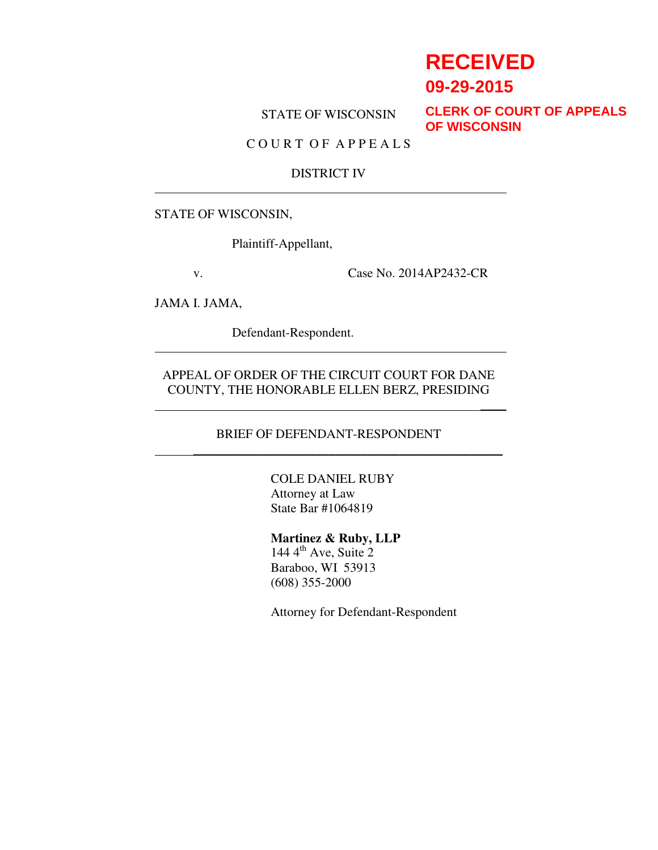# **RECEIVED**

 $\overline{\phantom{a}}$ 

**09-29-2015**

STATE OF WISCONSIN

**CLERK OF COURT OF APPEALS OF WISCONSIN**

# C O U R T O F A P P E A L S

#### DISTRICT IV

#### STATE OF WISCONSIN,

Plaintiff-Appellant,

v. Case No. 2014AP2432-CR

JAMA I. JAMA,

Defendant-Respondent.

APPEAL OF ORDER OF THE CIRCUIT COURT FOR DANE COUNTY, THE HONORABLE ELLEN BERZ, PRESIDING

## BRIEF OF DEFENDANT-RESPONDENT \_\_\_\_\_\_\_\_\_\_\_\_\_\_\_\_\_\_\_\_\_\_\_\_\_\_\_\_\_\_\_\_\_\_\_\_\_\_\_\_\_\_\_\_\_\_\_\_

COLE DANIEL RUBY Attorney at Law State Bar #1064819

#### **Martinez & Ruby, LLP**

 $144 \, 4^{\text{th}}$  Ave, Suite 2 Baraboo, WI 53913 (608) 355-2000

Attorney for Defendant-Respondent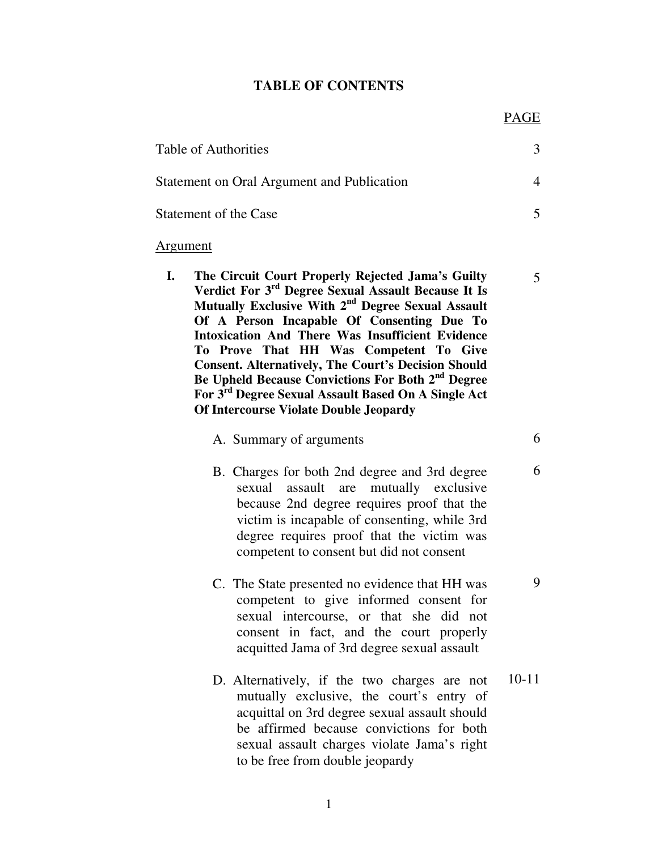#### **TABLE OF CONTENTS**

5

6

6

9

| Table of Authorities                       |  |
|--------------------------------------------|--|
| Statement on Oral Argument and Publication |  |
| Statement of the Case                      |  |

#### Argument

**I. The Circuit Court Properly Rejected Jama's Guilty Verdict For 3rd Degree Sexual Assault Because It Is Mutually Exclusive With 2nd Degree Sexual Assault Of A Person Incapable Of Consenting Due To Intoxication And There Was Insufficient Evidence To Prove That HH Was Competent To Give Consent. Alternatively, The Court's Decision Should Be Upheld Because Convictions For Both 2nd Degree For 3rd Degree Sexual Assault Based On A Single Act Of Intercourse Violate Double Jeopardy** 

|  | A. Summary of arguments |  |
|--|-------------------------|--|
|  |                         |  |

- B. Charges for both 2nd degree and 3rd degree sexual assault are mutually exclusive because 2nd degree requires proof that the victim is incapable of consenting, while 3rd degree requires proof that the victim was competent to consent but did not consent
- C. The State presented no evidence that HH was competent to give informed consent for sexual intercourse, or that she did not consent in fact, and the court properly acquitted Jama of 3rd degree sexual assault
- D. Alternatively, if the two charges are not mutually exclusive, the court's entry of acquittal on 3rd degree sexual assault should be affirmed because convictions for both sexual assault charges violate Jama's right to be free from double jeopardy 10-11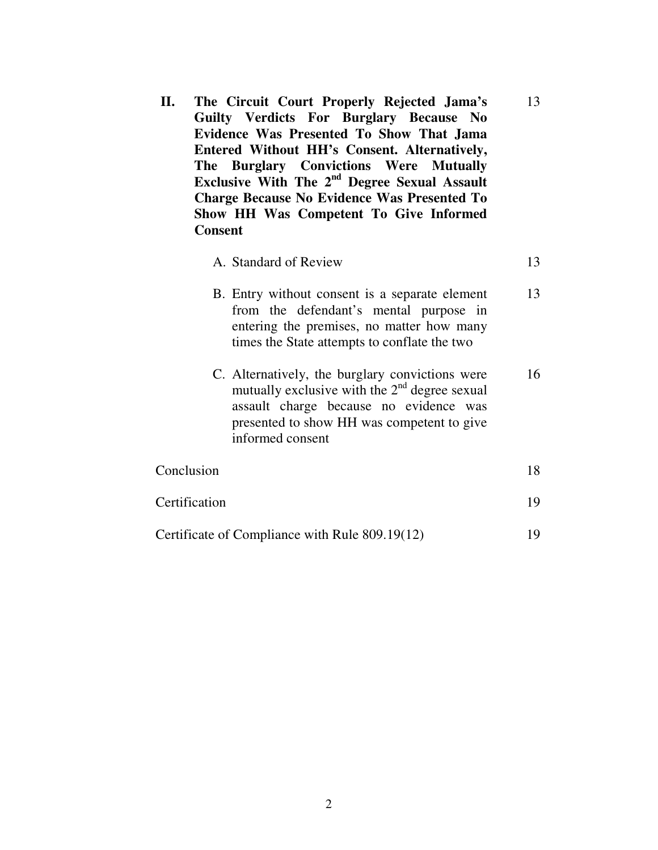| II. | The Circuit Court Properly Rejected Jama's               |
|-----|----------------------------------------------------------|
|     | Guilty Verdicts For Burglary Because No                  |
|     | Evidence Was Presented To Show That Jama                 |
|     | Entered Without HH's Consent. Alternatively,             |
|     | The Burglary Convictions Were Mutually                   |
|     | Exclusive With The 2 <sup>nd</sup> Degree Sexual Assault |
|     | <b>Charge Because No Evidence Was Presented To</b>       |
|     | Show HH Was Competent To Give Informed                   |
|     | Consent                                                  |

# A. Standard of Review 13

13

- B. Entry without consent is a separate element from the defendant's mental purpose in entering the premises, no matter how many times the State attempts to conflate the two 13
- C. Alternatively, the burglary convictions were mutually exclusive with the  $2<sup>nd</sup>$  degree sexual assault charge because no evidence was presented to show HH was competent to give informed consent 16

| Conclusion                                     | 18. |
|------------------------------------------------|-----|
| Certification                                  | 19  |
| Certificate of Compliance with Rule 809.19(12) | 19  |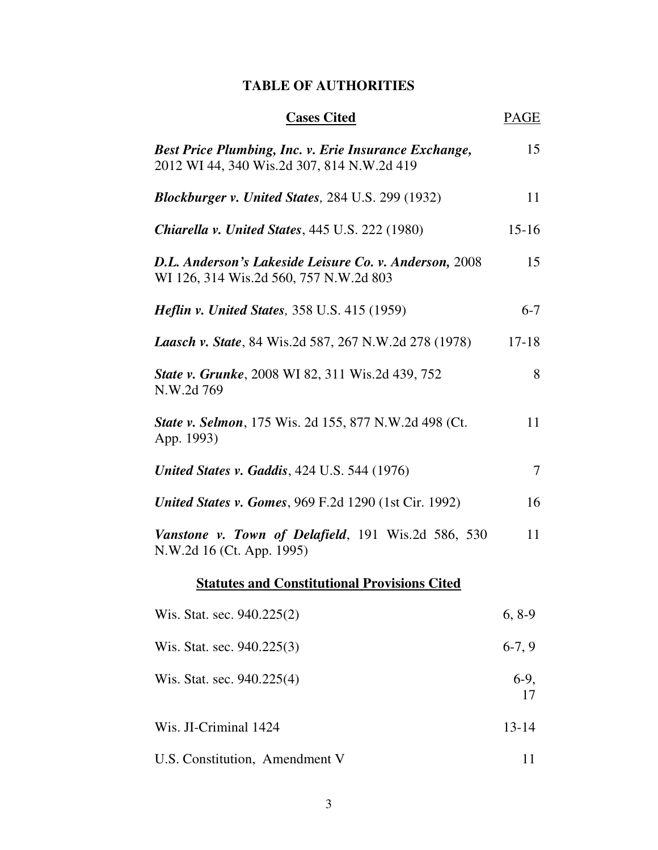# **TABLE OF AUTHORITIES**

| <b>Cases Cited</b>                                                                                  | PAGE         |
|-----------------------------------------------------------------------------------------------------|--------------|
| Best Price Plumbing, Inc. v. Erie Insurance Exchange,<br>2012 WI 44, 340 Wis.2d 307, 814 N.W.2d 419 | 15           |
| <b>Blockburger v. United States, 284 U.S. 299 (1932)</b>                                            | 11           |
| Chiarella v. United States, 445 U.S. 222 (1980)                                                     | $15 - 16$    |
| D.L. Anderson's Lakeside Leisure Co. v. Anderson, 2008<br>WI 126, 314 Wis.2d 560, 757 N.W.2d 803    | 15           |
| <i>Heflin v. United States, 358 U.S. 415 (1959)</i>                                                 | $6 - 7$      |
| <b>Laasch v. State</b> , 84 Wis.2d 587, 267 N.W.2d 278 (1978)                                       | $17 - 18$    |
| <b>State v. Grunke</b> , 2008 WI 82, 311 Wis.2d 439, 752<br>N.W.2d769                               | 8            |
| State v. Selmon, 175 Wis. 2d 155, 877 N.W.2d 498 (Ct.<br>App. 1993)                                 | 11           |
| <b>United States v. Gaddis, 424 U.S. 544 (1976)</b>                                                 | $\tau$       |
| <b>United States v. Gomes, 969 F.2d 1290 (1st Cir. 1992)</b>                                        | 16           |
| Vanstone v. Town of Delafield, 191 Wis.2d 586, 530<br>N.W.2d 16 (Ct. App. 1995)                     | 11           |
| <b>Statutes and Constitutional Provisions Cited</b>                                                 |              |
| Wis. Stat. sec. 940.225(2)                                                                          | $6, 8-9$     |
| Wis. Stat. sec. 940.225(3)                                                                          | $6-7, 9$     |
| Wis. Stat. sec. 940.225(4)                                                                          | $6-9,$<br>17 |
| Wis. JI-Criminal 1424                                                                               | $13 - 14$    |
| U.S. Constitution, Amendment V                                                                      | 11           |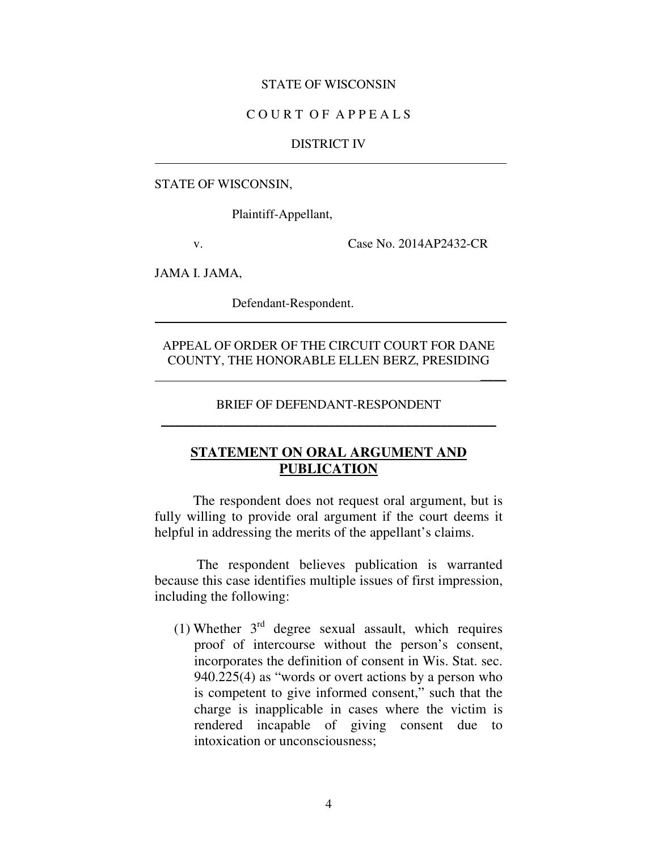#### STATE OF WISCONSIN

## C O U R T O F A P P E A L S

#### DISTRICT IV

#### STATE OF WISCONSIN,

Plaintiff-Appellant,

v. Case No. 2014AP2432-CR

 $\overline{\phantom{a}}$ 

JAMA I. JAMA,

Defendant-Respondent.

## APPEAL OF ORDER OF THE CIRCUIT COURT FOR DANE COUNTY, THE HONORABLE ELLEN BERZ, PRESIDING

# BRIEF OF DEFENDANT-RESPONDENT  $\rightarrow$  . The contract of the contract of the contract of the contract of the contract of the contract of the contract of

# **STATEMENT ON ORAL ARGUMENT AND PUBLICATION**

 The respondent does not request oral argument, but is fully willing to provide oral argument if the court deems it helpful in addressing the merits of the appellant's claims.

 The respondent believes publication is warranted because this case identifies multiple issues of first impression, including the following:

(1) Whether  $3<sup>rd</sup>$  degree sexual assault, which requires proof of intercourse without the person's consent, incorporates the definition of consent in Wis. Stat. sec. 940.225(4) as "words or overt actions by a person who is competent to give informed consent," such that the charge is inapplicable in cases where the victim is rendered incapable of giving consent due to intoxication or unconsciousness;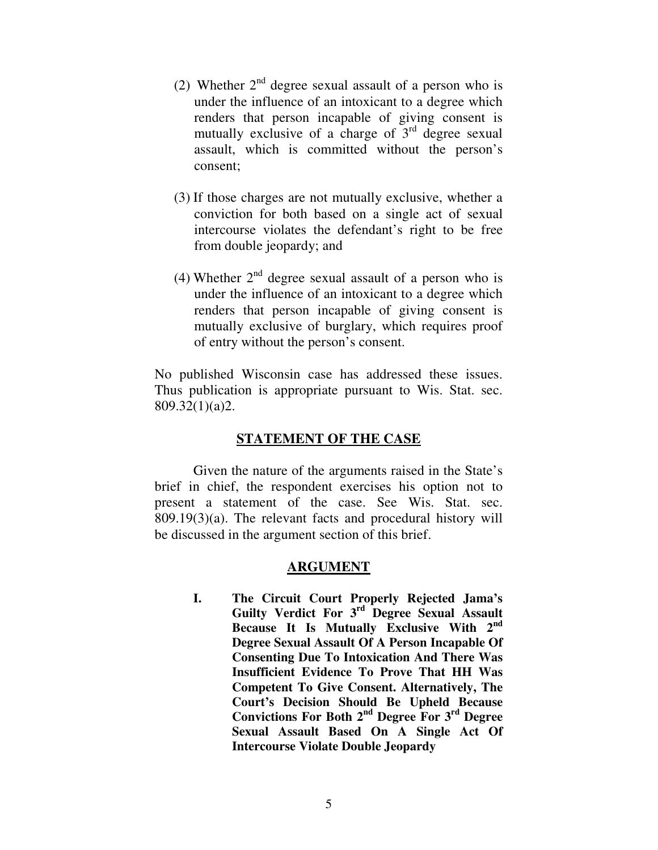- (2) Whether  $2<sup>nd</sup>$  degree sexual assault of a person who is under the influence of an intoxicant to a degree which renders that person incapable of giving consent is mutually exclusive of a charge of  $3<sup>rd</sup>$  degree sexual assault, which is committed without the person's consent;
- (3) If those charges are not mutually exclusive, whether a conviction for both based on a single act of sexual intercourse violates the defendant's right to be free from double jeopardy; and
- (4) Whether  $2^{nd}$  degree sexual assault of a person who is under the influence of an intoxicant to a degree which renders that person incapable of giving consent is mutually exclusive of burglary, which requires proof of entry without the person's consent.

No published Wisconsin case has addressed these issues. Thus publication is appropriate pursuant to Wis. Stat. sec. 809.32(1)(a)2.

# **STATEMENT OF THE CASE**

Given the nature of the arguments raised in the State's brief in chief, the respondent exercises his option not to present a statement of the case. See Wis. Stat. sec. 809.19(3)(a). The relevant facts and procedural history will be discussed in the argument section of this brief.

# **ARGUMENT**

**I. The Circuit Court Properly Rejected Jama's Guilty Verdict For 3rd Degree Sexual Assault Because It Is Mutually Exclusive With 2nd Degree Sexual Assault Of A Person Incapable Of Consenting Due To Intoxication And There Was Insufficient Evidence To Prove That HH Was Competent To Give Consent. Alternatively, The Court's Decision Should Be Upheld Because Convictions For Both 2nd Degree For 3rd Degree Sexual Assault Based On A Single Act Of Intercourse Violate Double Jeopardy**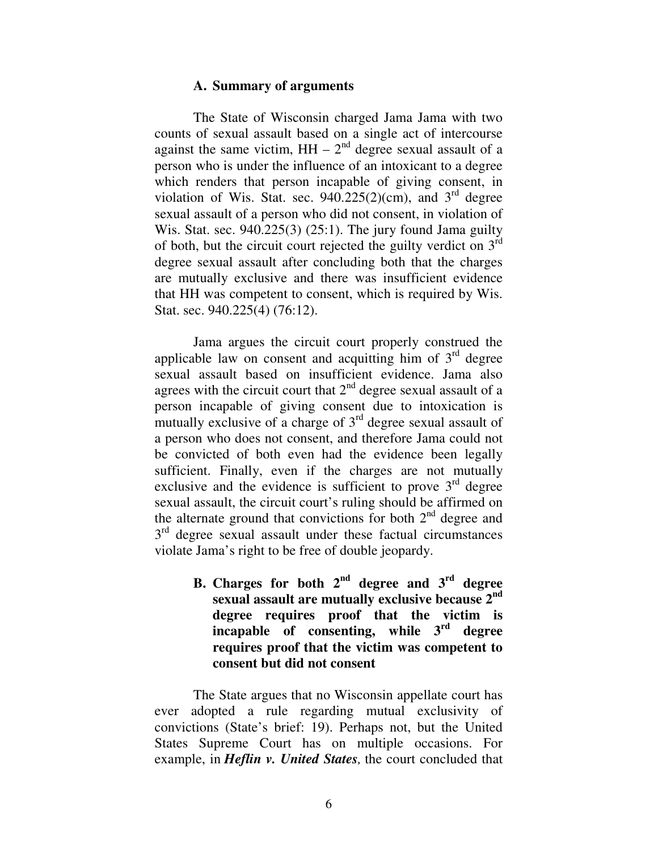## **A. Summary of arguments**

The State of Wisconsin charged Jama Jama with two counts of sexual assault based on a single act of intercourse against the same victim,  $HH - 2<sup>nd</sup>$  degree sexual assault of a person who is under the influence of an intoxicant to a degree which renders that person incapable of giving consent, in violation of Wis. Stat. sec.  $940.225(2)(cm)$ , and  $3<sup>rd</sup>$  degree sexual assault of a person who did not consent, in violation of Wis. Stat. sec.  $940.225(3)$  (25:1). The jury found Jama guilty of both, but the circuit court rejected the guilty verdict on  $3<sup>rd</sup>$ degree sexual assault after concluding both that the charges are mutually exclusive and there was insufficient evidence that HH was competent to consent, which is required by Wis. Stat. sec. 940.225(4) (76:12).

Jama argues the circuit court properly construed the applicable law on consent and acquitting him of  $3<sup>rd</sup>$  degree sexual assault based on insufficient evidence. Jama also agrees with the circuit court that  $2<sup>nd</sup>$  degree sexual assault of a person incapable of giving consent due to intoxication is mutually exclusive of a charge of  $3<sup>rd</sup>$  degree sexual assault of a person who does not consent, and therefore Jama could not be convicted of both even had the evidence been legally sufficient. Finally, even if the charges are not mutually exclusive and the evidence is sufficient to prove  $3<sup>rd</sup>$  degree sexual assault, the circuit court's ruling should be affirmed on the alternate ground that convictions for both  $2<sup>nd</sup>$  degree and 3<sup>rd</sup> degree sexual assault under these factual circumstances violate Jama's right to be free of double jeopardy.

> **B. Charges for both**  $2^{nd}$  **degree and**  $3^{rd}$  **degree sexual assault are mutually exclusive because 2nd degree requires proof that the victim is incapable of consenting, while 3rd degree requires proof that the victim was competent to consent but did not consent**

 The State argues that no Wisconsin appellate court has ever adopted a rule regarding mutual exclusivity of convictions (State's brief: 19). Perhaps not, but the United States Supreme Court has on multiple occasions. For example, in *Heflin v. United States,* the court concluded that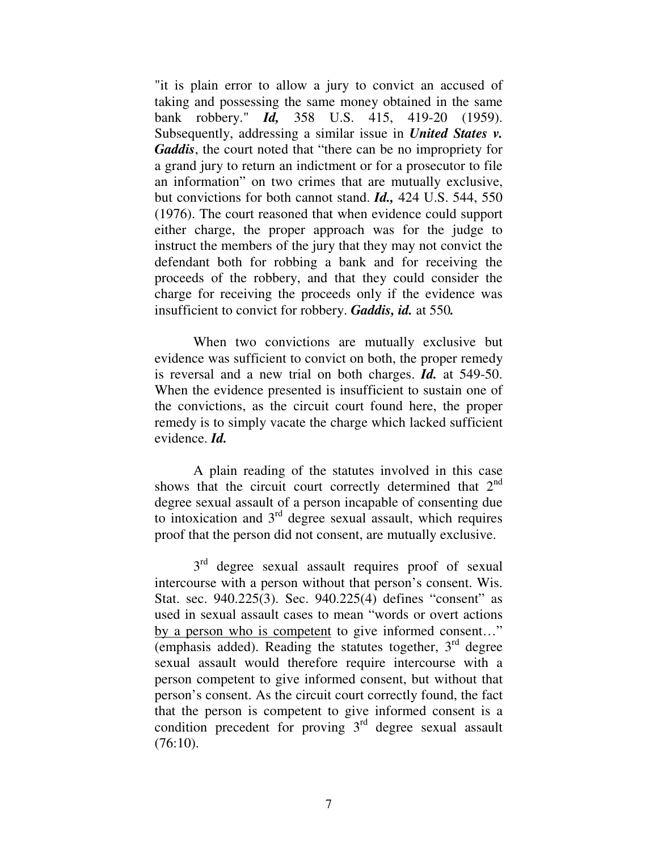"it is plain error to allow a jury to convict an accused of taking and possessing the same money obtained in the same bank robbery." *Id,* 358 U.S. 415, 419-20 (1959). Subsequently, addressing a similar issue in *United States v. Gaddis*, the court noted that "there can be no impropriety for a grand jury to return an indictment or for a prosecutor to file an information" on two crimes that are mutually exclusive, but convictions for both cannot stand. *Id.,* 424 U.S. 544, 550 (1976). The court reasoned that when evidence could support either charge, the proper approach was for the judge to instruct the members of the jury that they may not convict the defendant both for robbing a bank and for receiving the proceeds of the robbery, and that they could consider the charge for receiving the proceeds only if the evidence was insufficient to convict for robbery. *Gaddis, id.* at 550*.* 

When two convictions are mutually exclusive but evidence was sufficient to convict on both, the proper remedy is reversal and a new trial on both charges. *Id.* at 549-50. When the evidence presented is insufficient to sustain one of the convictions, as the circuit court found here, the proper remedy is to simply vacate the charge which lacked sufficient evidence. *Id.* 

 A plain reading of the statutes involved in this case shows that the circuit court correctly determined that  $2<sup>nd</sup>$ degree sexual assault of a person incapable of consenting due to intoxication and 3rd degree sexual assault, which requires proof that the person did not consent, are mutually exclusive.

 $3<sup>rd</sup>$  degree sexual assault requires proof of sexual intercourse with a person without that person's consent. Wis. Stat. sec. 940.225(3). Sec. 940.225(4) defines "consent" as used in sexual assault cases to mean "words or overt actions by a person who is competent to give informed consent…" (emphasis added). Reading the statutes together,  $3<sup>rd</sup>$  degree sexual assault would therefore require intercourse with a person competent to give informed consent, but without that person's consent. As the circuit court correctly found, the fact that the person is competent to give informed consent is a condition precedent for proving  $3<sup>rd</sup>$  degree sexual assault (76:10).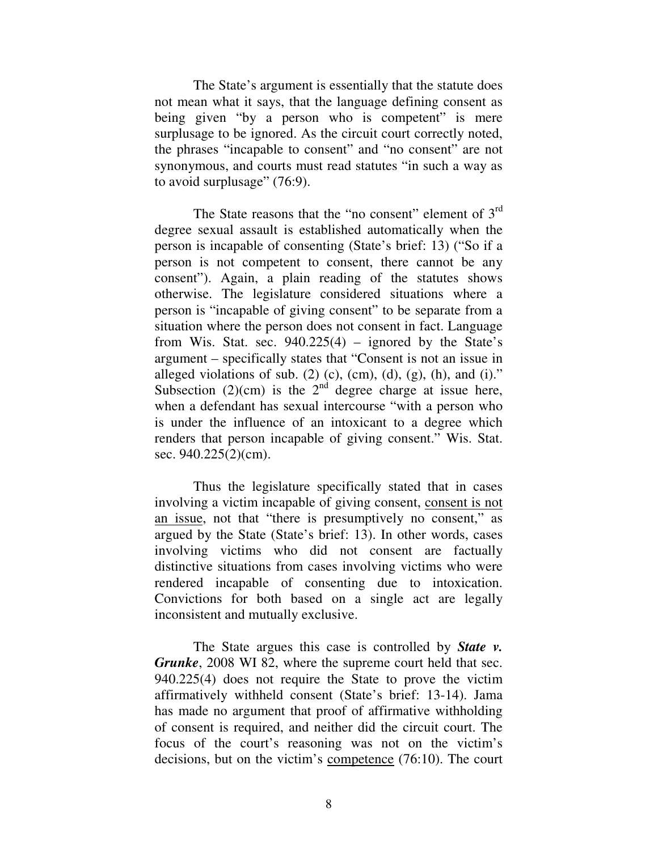The State's argument is essentially that the statute does not mean what it says, that the language defining consent as being given "by a person who is competent" is mere surplusage to be ignored. As the circuit court correctly noted, the phrases "incapable to consent" and "no consent" are not synonymous, and courts must read statutes "in such a way as to avoid surplusage" (76:9).

The State reasons that the "no consent" element of  $3<sup>rd</sup>$ degree sexual assault is established automatically when the person is incapable of consenting (State's brief: 13) ("So if a person is not competent to consent, there cannot be any consent"). Again, a plain reading of the statutes shows otherwise. The legislature considered situations where a person is "incapable of giving consent" to be separate from a situation where the person does not consent in fact. Language from Wis. Stat. sec.  $940.225(4)$  – ignored by the State's argument – specifically states that "Consent is not an issue in alleged violations of sub. (2) (c), (cm), (d), (g), (h), and (i)." Subsection  $(2)(cm)$  is the  $2<sup>nd</sup>$  degree charge at issue here, when a defendant has sexual intercourse "with a person who is under the influence of an intoxicant to a degree which renders that person incapable of giving consent." Wis. Stat. sec. 940.225(2)(cm).

Thus the legislature specifically stated that in cases involving a victim incapable of giving consent, consent is not an issue, not that "there is presumptively no consent," as argued by the State (State's brief: 13). In other words, cases involving victims who did not consent are factually distinctive situations from cases involving victims who were rendered incapable of consenting due to intoxication. Convictions for both based on a single act are legally inconsistent and mutually exclusive.

The State argues this case is controlled by *State v. Grunke*, 2008 WI 82, where the supreme court held that sec. 940.225(4) does not require the State to prove the victim affirmatively withheld consent (State's brief: 13-14). Jama has made no argument that proof of affirmative withholding of consent is required, and neither did the circuit court. The focus of the court's reasoning was not on the victim's decisions, but on the victim's competence (76:10). The court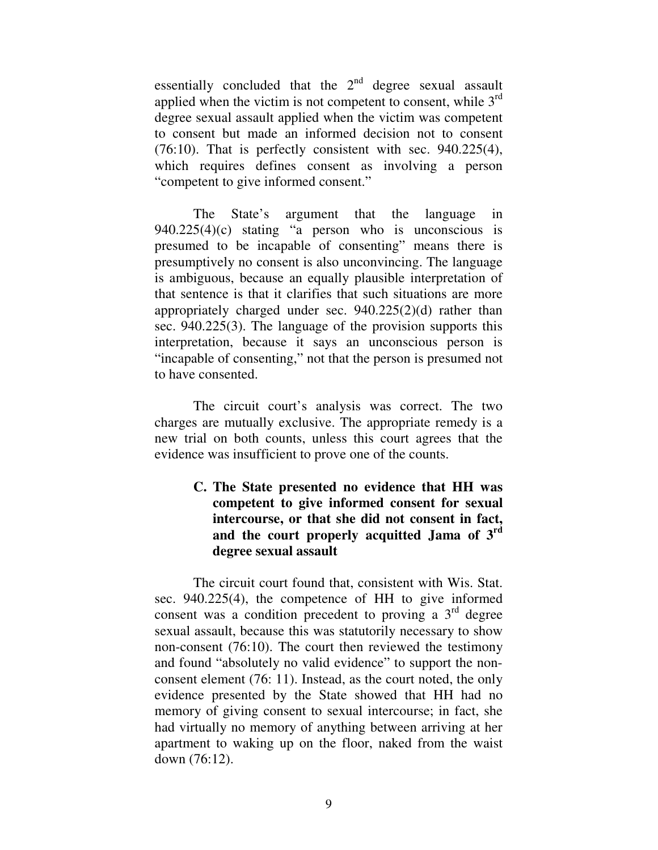essentially concluded that the  $2<sup>nd</sup>$  degree sexual assault applied when the victim is not competent to consent, while  $3<sup>rd</sup>$ degree sexual assault applied when the victim was competent to consent but made an informed decision not to consent (76:10). That is perfectly consistent with sec. 940.225(4), which requires defines consent as involving a person "competent to give informed consent."

The State's argument that the language in 940.225(4)(c) stating "a person who is unconscious is presumed to be incapable of consenting" means there is presumptively no consent is also unconvincing. The language is ambiguous, because an equally plausible interpretation of that sentence is that it clarifies that such situations are more appropriately charged under sec. 940.225(2)(d) rather than sec. 940.225(3). The language of the provision supports this interpretation, because it says an unconscious person is "incapable of consenting," not that the person is presumed not to have consented.

The circuit court's analysis was correct. The two charges are mutually exclusive. The appropriate remedy is a new trial on both counts, unless this court agrees that the evidence was insufficient to prove one of the counts.

# **C. The State presented no evidence that HH was competent to give informed consent for sexual intercourse, or that she did not consent in fact, and the court properly acquitted Jama of 3rd degree sexual assault**

 The circuit court found that, consistent with Wis. Stat. sec. 940.225(4), the competence of HH to give informed consent was a condition precedent to proving a  $3<sup>rd</sup>$  degree sexual assault, because this was statutorily necessary to show non-consent (76:10). The court then reviewed the testimony and found "absolutely no valid evidence" to support the nonconsent element (76: 11). Instead, as the court noted, the only evidence presented by the State showed that HH had no memory of giving consent to sexual intercourse; in fact, she had virtually no memory of anything between arriving at her apartment to waking up on the floor, naked from the waist down (76:12).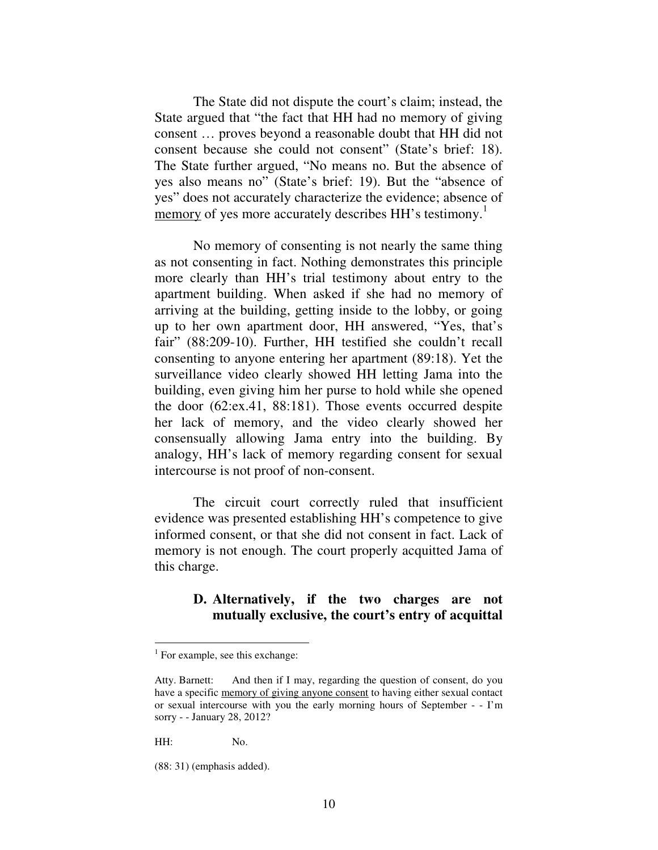The State did not dispute the court's claim; instead, the State argued that "the fact that HH had no memory of giving consent … proves beyond a reasonable doubt that HH did not consent because she could not consent" (State's brief: 18). The State further argued, "No means no. But the absence of yes also means no" (State's brief: 19). But the "absence of yes" does not accurately characterize the evidence; absence of memory of yes more accurately describes HH's testimony.<sup>1</sup>

No memory of consenting is not nearly the same thing as not consenting in fact. Nothing demonstrates this principle more clearly than HH's trial testimony about entry to the apartment building. When asked if she had no memory of arriving at the building, getting inside to the lobby, or going up to her own apartment door, HH answered, "Yes, that's fair" (88:209-10). Further, HH testified she couldn't recall consenting to anyone entering her apartment (89:18). Yet the surveillance video clearly showed HH letting Jama into the building, even giving him her purse to hold while she opened the door (62:ex.41, 88:181). Those events occurred despite her lack of memory, and the video clearly showed her consensually allowing Jama entry into the building. By analogy, HH's lack of memory regarding consent for sexual intercourse is not proof of non-consent.

 The circuit court correctly ruled that insufficient evidence was presented establishing HH's competence to give informed consent, or that she did not consent in fact. Lack of memory is not enough. The court properly acquitted Jama of this charge.

## **D. Alternatively, if the two charges are not mutually exclusive, the court's entry of acquittal**

HH: No.

-

<sup>&</sup>lt;sup>1</sup> For example, see this exchange:

Atty. Barnett: And then if I may, regarding the question of consent, do you have a specific memory of giving anyone consent to having either sexual contact or sexual intercourse with you the early morning hours of September - - I'm sorry - - January 28, 2012?

<sup>(88: 31) (</sup>emphasis added).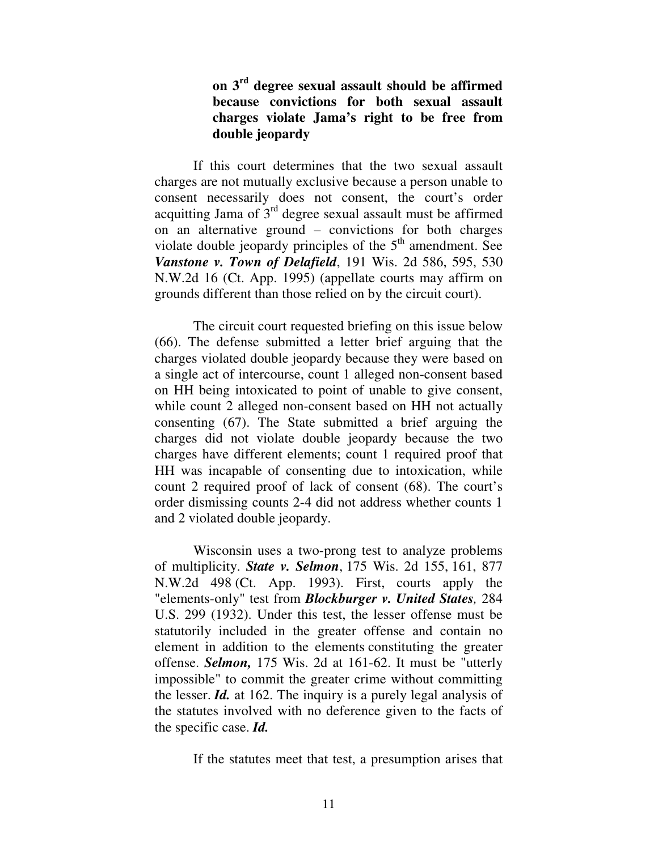# **on 3rd degree sexual assault should be affirmed because convictions for both sexual assault charges violate Jama's right to be free from double jeopardy**

If this court determines that the two sexual assault charges are not mutually exclusive because a person unable to consent necessarily does not consent, the court's order acquitting Jama of  $3<sup>rd</sup>$  degree sexual assault must be affirmed on an alternative ground – convictions for both charges violate double jeopardy principles of the  $5<sup>th</sup>$  amendment. See *Vanstone v. Town of Delafield*, 191 Wis. 2d 586, 595, 530 N.W.2d 16 (Ct. App. 1995) (appellate courts may affirm on grounds different than those relied on by the circuit court).

The circuit court requested briefing on this issue below (66). The defense submitted a letter brief arguing that the charges violated double jeopardy because they were based on a single act of intercourse, count 1 alleged non-consent based on HH being intoxicated to point of unable to give consent, while count 2 alleged non-consent based on HH not actually consenting (67). The State submitted a brief arguing the charges did not violate double jeopardy because the two charges have different elements; count 1 required proof that HH was incapable of consenting due to intoxication, while count 2 required proof of lack of consent (68). The court's order dismissing counts 2-4 did not address whether counts 1 and 2 violated double jeopardy.

Wisconsin uses a two-prong test to analyze problems of multiplicity. *State v. Selmon*, 175 Wis. 2d 155, 161, 877 N.W.2d 498 (Ct. App. 1993). First, courts apply the "elements-only" test from *Blockburger v. United States,* 284 U.S. 299 (1932). Under this test, the lesser offense must be statutorily included in the greater offense and contain no element in addition to the elements constituting the greater offense. *Selmon,* 175 Wis. 2d at 161-62. It must be "utterly impossible" to commit the greater crime without committing the lesser. *Id.* at 162. The inquiry is a purely legal analysis of the statutes involved with no deference given to the facts of the specific case. *Id.* 

If the statutes meet that test, a presumption arises that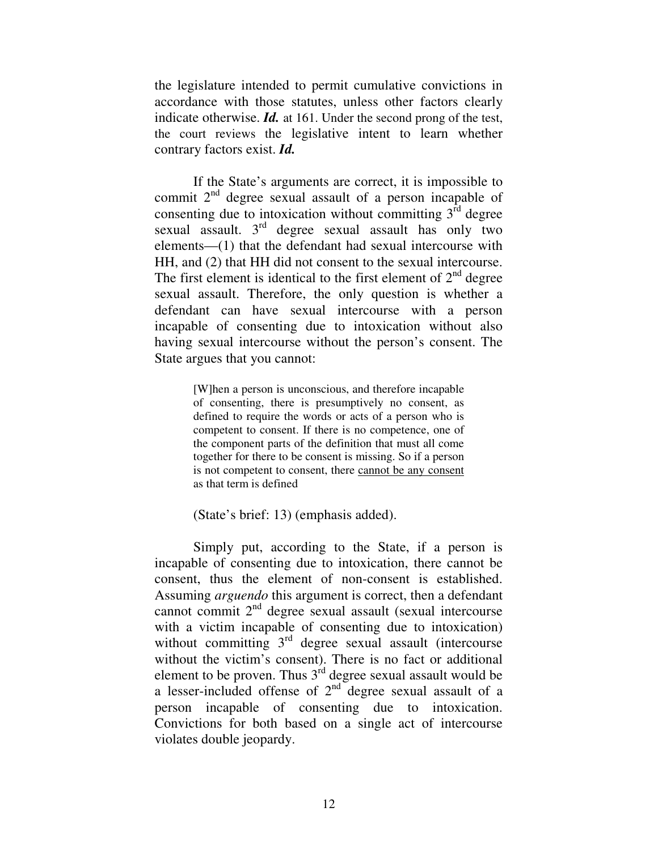the legislature intended to permit cumulative convictions in accordance with those statutes, unless other factors clearly indicate otherwise. *Id.* at 161. Under the second prong of the test, the court reviews the legislative intent to learn whether contrary factors exist. *Id.* 

If the State's arguments are correct, it is impossible to commit  $2<sup>nd</sup>$  degree sexual assault of a person incapable of consenting due to intoxication without committing  $3<sup>rd</sup>$  degree sexual assault. 3<sup>rd</sup> degree sexual assault has only two elements—(1) that the defendant had sexual intercourse with HH, and (2) that HH did not consent to the sexual intercourse. The first element is identical to the first element of  $2<sup>nd</sup>$  degree sexual assault. Therefore, the only question is whether a defendant can have sexual intercourse with a person incapable of consenting due to intoxication without also having sexual intercourse without the person's consent. The State argues that you cannot:

> [W]hen a person is unconscious, and therefore incapable of consenting, there is presumptively no consent, as defined to require the words or acts of a person who is competent to consent. If there is no competence, one of the component parts of the definition that must all come together for there to be consent is missing. So if a person is not competent to consent, there cannot be any consent as that term is defined

(State's brief: 13) (emphasis added).

 Simply put, according to the State, if a person is incapable of consenting due to intoxication, there cannot be consent, thus the element of non-consent is established. Assuming *arguendo* this argument is correct, then a defendant cannot commit 2nd degree sexual assault (sexual intercourse with a victim incapable of consenting due to intoxication) without committing  $3<sup>rd</sup>$  degree sexual assault (intercourse without the victim's consent). There is no fact or additional element to be proven. Thus  $3<sup>rd</sup>$  degree sexual assault would be a lesser-included offense of  $2<sup>nd</sup>$  degree sexual assault of a person incapable of consenting due to intoxication. Convictions for both based on a single act of intercourse violates double jeopardy.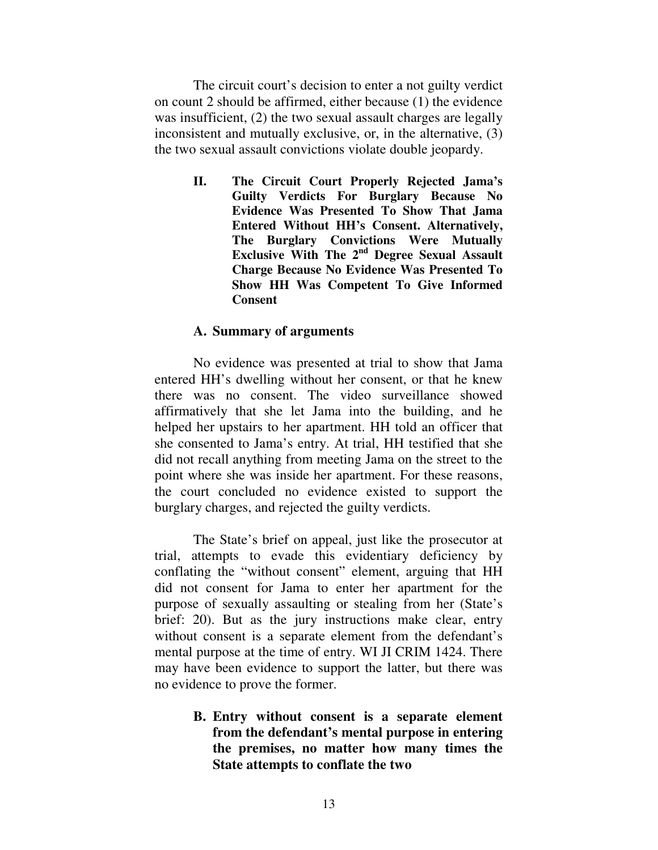The circuit court's decision to enter a not guilty verdict on count 2 should be affirmed, either because (1) the evidence was insufficient, (2) the two sexual assault charges are legally inconsistent and mutually exclusive, or, in the alternative, (3) the two sexual assault convictions violate double jeopardy.

> **II. The Circuit Court Properly Rejected Jama's Guilty Verdicts For Burglary Because No Evidence Was Presented To Show That Jama Entered Without HH's Consent. Alternatively, The Burglary Convictions Were Mutually Exclusive With The 2nd Degree Sexual Assault Charge Because No Evidence Was Presented To Show HH Was Competent To Give Informed Consent**

# **A. Summary of arguments**

No evidence was presented at trial to show that Jama entered HH's dwelling without her consent, or that he knew there was no consent. The video surveillance showed affirmatively that she let Jama into the building, and he helped her upstairs to her apartment. HH told an officer that she consented to Jama's entry. At trial, HH testified that she did not recall anything from meeting Jama on the street to the point where she was inside her apartment. For these reasons, the court concluded no evidence existed to support the burglary charges, and rejected the guilty verdicts.

The State's brief on appeal, just like the prosecutor at trial, attempts to evade this evidentiary deficiency by conflating the "without consent" element, arguing that HH did not consent for Jama to enter her apartment for the purpose of sexually assaulting or stealing from her (State's brief: 20). But as the jury instructions make clear, entry without consent is a separate element from the defendant's mental purpose at the time of entry. WI JI CRIM 1424. There may have been evidence to support the latter, but there was no evidence to prove the former.

> **B. Entry without consent is a separate element from the defendant's mental purpose in entering the premises, no matter how many times the State attempts to conflate the two**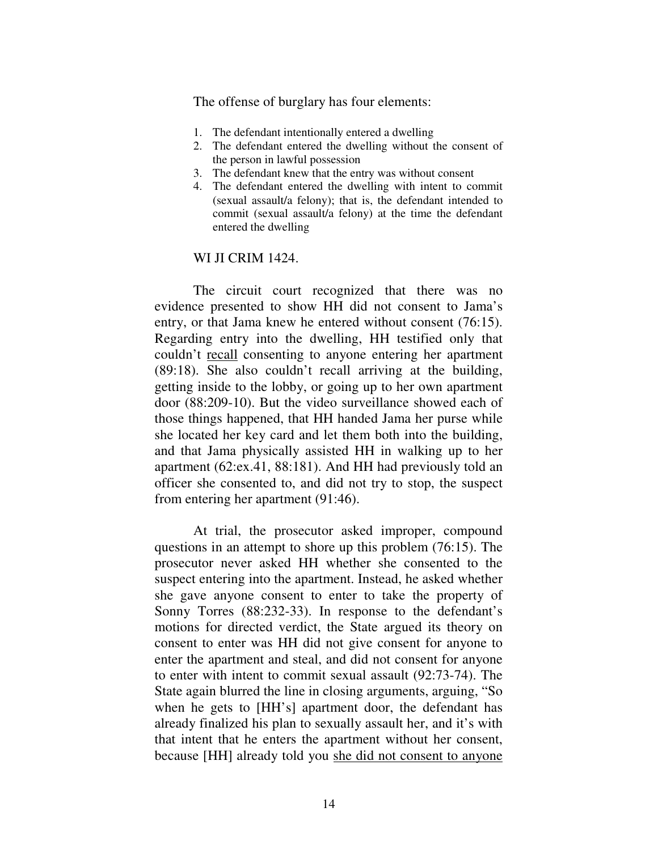The offense of burglary has four elements:

- 1. The defendant intentionally entered a dwelling
- 2. The defendant entered the dwelling without the consent of the person in lawful possession
- 3. The defendant knew that the entry was without consent
- 4. The defendant entered the dwelling with intent to commit (sexual assault/a felony); that is, the defendant intended to commit (sexual assault/a felony) at the time the defendant entered the dwelling

#### WI JI CRIM 1424.

The circuit court recognized that there was no evidence presented to show HH did not consent to Jama's entry, or that Jama knew he entered without consent (76:15). Regarding entry into the dwelling, HH testified only that couldn't recall consenting to anyone entering her apartment (89:18). She also couldn't recall arriving at the building, getting inside to the lobby, or going up to her own apartment door (88:209-10). But the video surveillance showed each of those things happened, that HH handed Jama her purse while she located her key card and let them both into the building, and that Jama physically assisted HH in walking up to her apartment (62:ex.41, 88:181). And HH had previously told an officer she consented to, and did not try to stop, the suspect from entering her apartment (91:46).

At trial, the prosecutor asked improper, compound questions in an attempt to shore up this problem (76:15). The prosecutor never asked HH whether she consented to the suspect entering into the apartment. Instead, he asked whether she gave anyone consent to enter to take the property of Sonny Torres (88:232-33). In response to the defendant's motions for directed verdict, the State argued its theory on consent to enter was HH did not give consent for anyone to enter the apartment and steal, and did not consent for anyone to enter with intent to commit sexual assault (92:73-74). The State again blurred the line in closing arguments, arguing, "So when he gets to [HH's] apartment door, the defendant has already finalized his plan to sexually assault her, and it's with that intent that he enters the apartment without her consent, because [HH] already told you she did not consent to anyone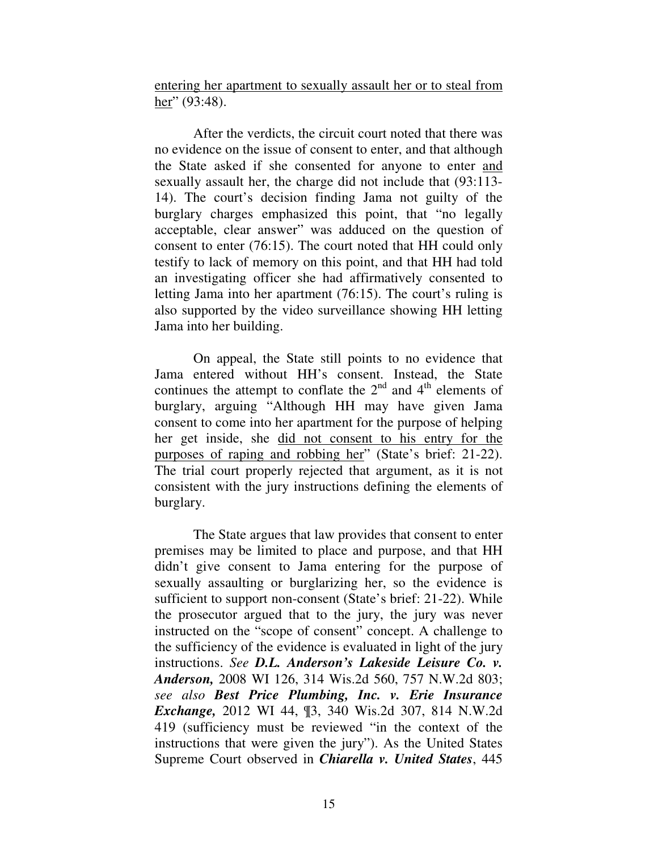entering her apartment to sexually assault her or to steal from her" (93:48).

After the verdicts, the circuit court noted that there was no evidence on the issue of consent to enter, and that although the State asked if she consented for anyone to enter and sexually assault her, the charge did not include that (93:113- 14). The court's decision finding Jama not guilty of the burglary charges emphasized this point, that "no legally acceptable, clear answer" was adduced on the question of consent to enter (76:15). The court noted that HH could only testify to lack of memory on this point, and that HH had told an investigating officer she had affirmatively consented to letting Jama into her apartment (76:15). The court's ruling is also supported by the video surveillance showing HH letting Jama into her building.

On appeal, the State still points to no evidence that Jama entered without HH's consent. Instead, the State continues the attempt to conflate the  $2<sup>nd</sup>$  and  $4<sup>th</sup>$  elements of burglary, arguing "Although HH may have given Jama consent to come into her apartment for the purpose of helping her get inside, she did not consent to his entry for the purposes of raping and robbing her" (State's brief: 21-22). The trial court properly rejected that argument, as it is not consistent with the jury instructions defining the elements of burglary.

The State argues that law provides that consent to enter premises may be limited to place and purpose, and that HH didn't give consent to Jama entering for the purpose of sexually assaulting or burglarizing her, so the evidence is sufficient to support non-consent (State's brief: 21-22). While the prosecutor argued that to the jury, the jury was never instructed on the "scope of consent" concept. A challenge to the sufficiency of the evidence is evaluated in light of the jury instructions. *See D.L. Anderson's Lakeside Leisure Co. v. Anderson,* 2008 WI 126, 314 Wis.2d 560, 757 N.W.2d 803; *see also Best Price Plumbing, Inc. v. Erie Insurance Exchange,* 2012 WI 44, ¶3, 340 Wis.2d 307, 814 N.W.2d 419 (sufficiency must be reviewed "in the context of the instructions that were given the jury"). As the United States Supreme Court observed in *Chiarella v. United States*, 445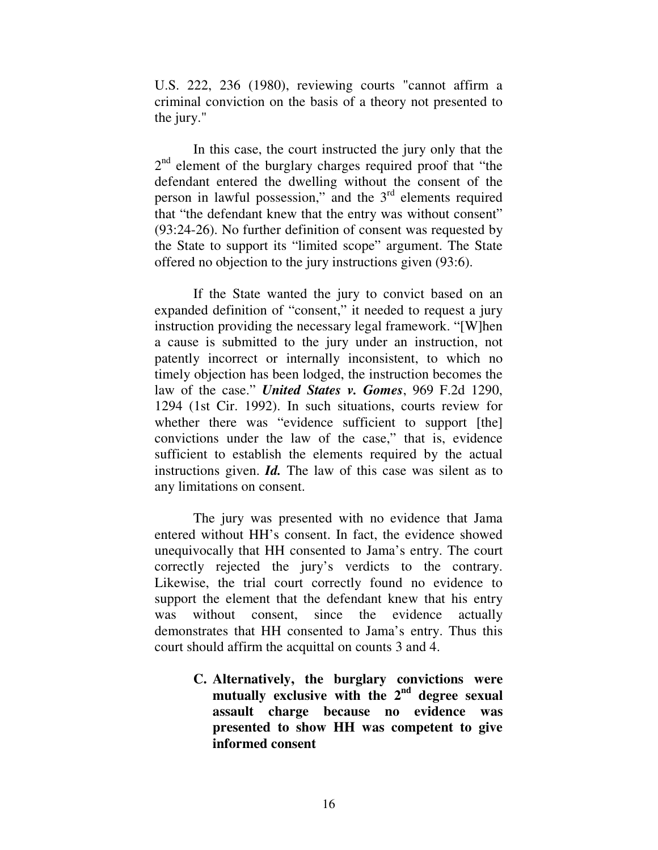U.S. 222, 236 (1980), reviewing courts "cannot affirm a criminal conviction on the basis of a theory not presented to the jury."

In this case, the court instructed the jury only that the 2<sup>nd</sup> element of the burglary charges required proof that "the defendant entered the dwelling without the consent of the person in lawful possession," and the 3<sup>rd</sup> elements required that "the defendant knew that the entry was without consent" (93:24-26). No further definition of consent was requested by the State to support its "limited scope" argument. The State offered no objection to the jury instructions given (93:6).

If the State wanted the jury to convict based on an expanded definition of "consent," it needed to request a jury instruction providing the necessary legal framework. "[W]hen a cause is submitted to the jury under an instruction, not patently incorrect or internally inconsistent, to which no timely objection has been lodged, the instruction becomes the law of the case." *United States v. Gomes*, 969 F.2d 1290, 1294 (1st Cir. 1992). In such situations, courts review for whether there was "evidence sufficient to support [the] convictions under the law of the case," that is, evidence sufficient to establish the elements required by the actual instructions given. *Id.* The law of this case was silent as to any limitations on consent.

The jury was presented with no evidence that Jama entered without HH's consent. In fact, the evidence showed unequivocally that HH consented to Jama's entry. The court correctly rejected the jury's verdicts to the contrary. Likewise, the trial court correctly found no evidence to support the element that the defendant knew that his entry was without consent, since the evidence actually demonstrates that HH consented to Jama's entry. Thus this court should affirm the acquittal on counts 3 and 4.

> **C. Alternatively, the burglary convictions were mutually exclusive with the 2nd degree sexual assault charge because no evidence was presented to show HH was competent to give informed consent**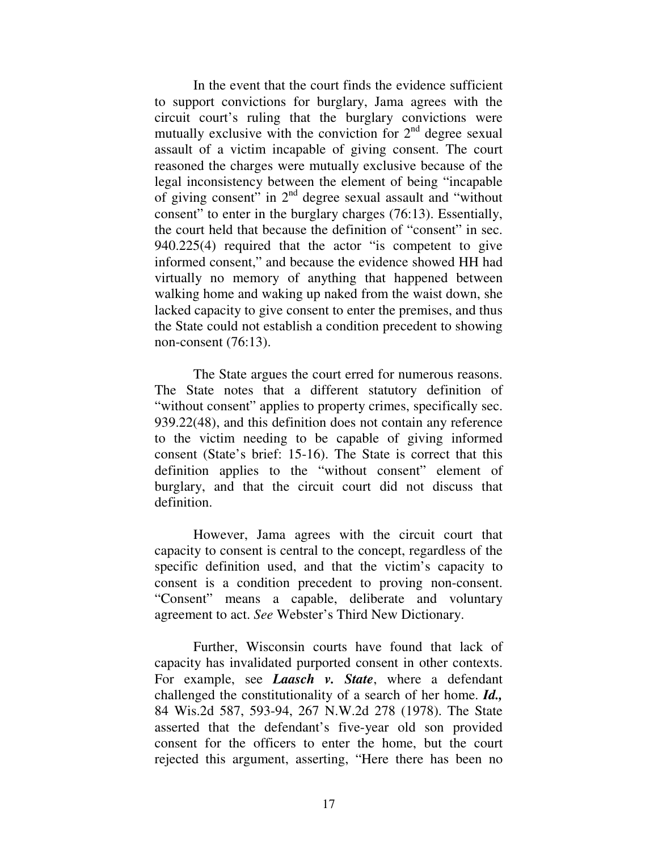In the event that the court finds the evidence sufficient to support convictions for burglary, Jama agrees with the circuit court's ruling that the burglary convictions were mutually exclusive with the conviction for  $2<sup>nd</sup>$  degree sexual assault of a victim incapable of giving consent. The court reasoned the charges were mutually exclusive because of the legal inconsistency between the element of being "incapable of giving consent" in  $2<sup>nd</sup>$  degree sexual assault and "without consent" to enter in the burglary charges (76:13). Essentially, the court held that because the definition of "consent" in sec. 940.225(4) required that the actor "is competent to give informed consent," and because the evidence showed HH had virtually no memory of anything that happened between walking home and waking up naked from the waist down, she lacked capacity to give consent to enter the premises, and thus the State could not establish a condition precedent to showing non-consent (76:13).

The State argues the court erred for numerous reasons. The State notes that a different statutory definition of "without consent" applies to property crimes, specifically sec. 939.22(48), and this definition does not contain any reference to the victim needing to be capable of giving informed consent (State's brief: 15-16). The State is correct that this definition applies to the "without consent" element of burglary, and that the circuit court did not discuss that definition.

However, Jama agrees with the circuit court that capacity to consent is central to the concept, regardless of the specific definition used, and that the victim's capacity to consent is a condition precedent to proving non-consent. "Consent" means a capable, deliberate and voluntary agreement to act. *See* Webster's Third New Dictionary.

Further, Wisconsin courts have found that lack of capacity has invalidated purported consent in other contexts. For example, see *Laasch v. State*, where a defendant challenged the constitutionality of a search of her home. *Id.,*  84 Wis.2d 587, 593-94, 267 N.W.2d 278 (1978). The State asserted that the defendant's five-year old son provided consent for the officers to enter the home, but the court rejected this argument, asserting, "Here there has been no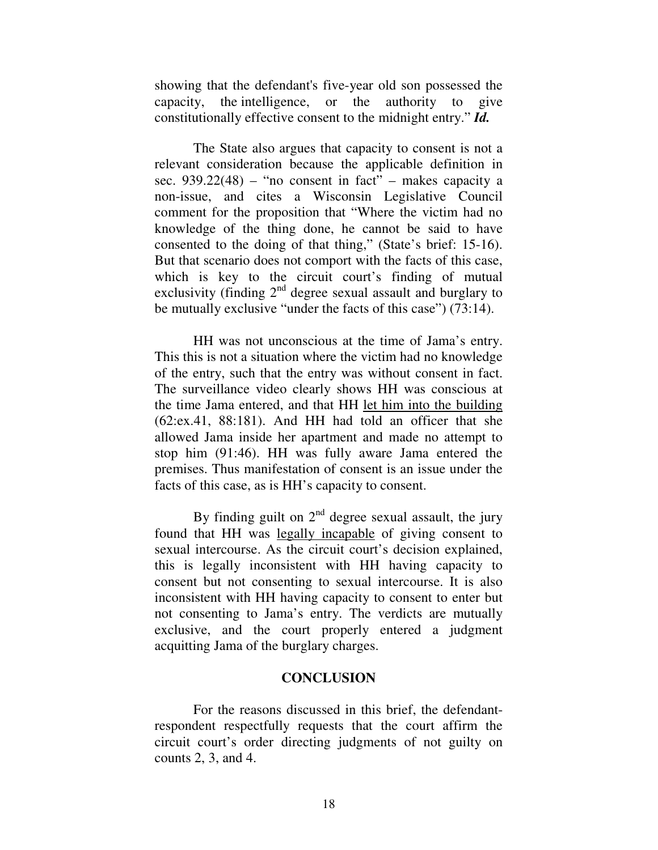showing that the defendant's five-year old son possessed the capacity, the intelligence, or the authority to give constitutionally effective consent to the midnight entry." *Id.* 

The State also argues that capacity to consent is not a relevant consideration because the applicable definition in sec.  $939.22(48)$  – "no consent in fact" – makes capacity a non-issue, and cites a Wisconsin Legislative Council comment for the proposition that "Where the victim had no knowledge of the thing done, he cannot be said to have consented to the doing of that thing," (State's brief: 15-16). But that scenario does not comport with the facts of this case, which is key to the circuit court's finding of mutual exclusivity (finding  $2<sup>nd</sup>$  degree sexual assault and burglary to be mutually exclusive "under the facts of this case") (73:14).

HH was not unconscious at the time of Jama's entry. This this is not a situation where the victim had no knowledge of the entry, such that the entry was without consent in fact. The surveillance video clearly shows HH was conscious at the time Jama entered, and that HH let him into the building (62:ex.41, 88:181). And HH had told an officer that she allowed Jama inside her apartment and made no attempt to stop him (91:46). HH was fully aware Jama entered the premises. Thus manifestation of consent is an issue under the facts of this case, as is HH's capacity to consent.

By finding guilt on  $2<sup>nd</sup>$  degree sexual assault, the jury found that HH was legally incapable of giving consent to sexual intercourse. As the circuit court's decision explained, this is legally inconsistent with HH having capacity to consent but not consenting to sexual intercourse. It is also inconsistent with HH having capacity to consent to enter but not consenting to Jama's entry. The verdicts are mutually exclusive, and the court properly entered a judgment acquitting Jama of the burglary charges.

## **CONCLUSION**

 For the reasons discussed in this brief, the defendantrespondent respectfully requests that the court affirm the circuit court's order directing judgments of not guilty on counts 2, 3, and 4.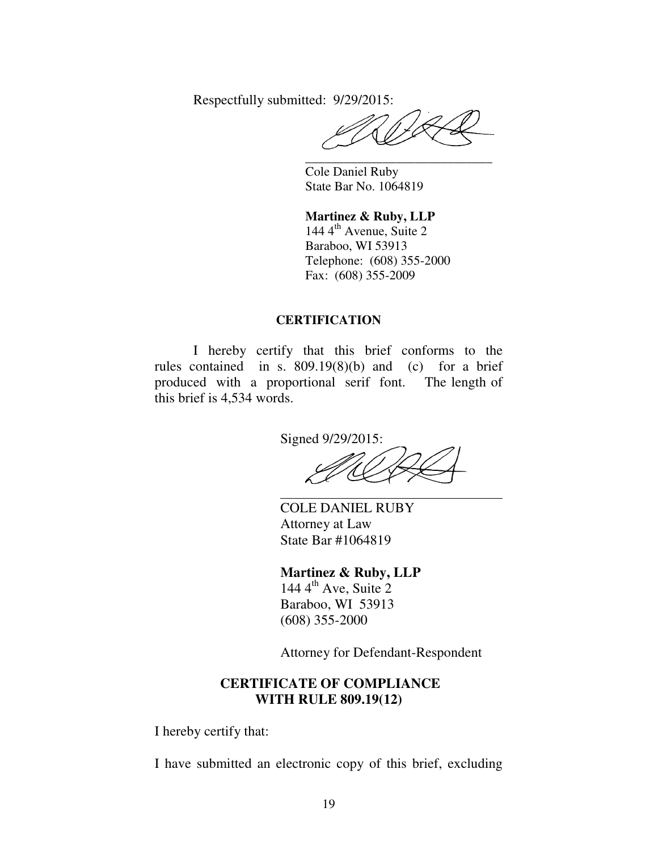Respectfully submitted: 9/29/2015:

 **\_\_\_\_\_\_\_\_\_\_\_\_\_\_\_\_\_\_\_\_\_\_\_\_\_\_\_\_\_** 

 Cole Daniel Ruby State Bar No. 1064819

**Martinez & Ruby, LLP**  144  $4^{\text{th}}$  Avenue, Suite 2 Baraboo, WI 53913 Telephone: (608) 355-2000 Fax: (608) 355-2009

#### **CERTIFICATION**

 I hereby certify that this brief conforms to the rules contained in s. 809.19(8)(b) and (c) for a brief produced with a proportional serif font. The length of this brief is 4,534 words.

> Signed 9/29/2015:  $\overline{a}$

COLE DANIEL RUBY Attorney at Law State Bar #1064819

# **Martinez & Ruby, LLP**

 $144 \, 4^{\text{th}}$  Ave, Suite 2 Baraboo, WI 53913 (608) 355-2000

Attorney for Defendant-Respondent

# **CERTIFICATE OF COMPLIANCE WITH RULE 809.19(12)**

I hereby certify that:

I have submitted an electronic copy of this brief, excluding